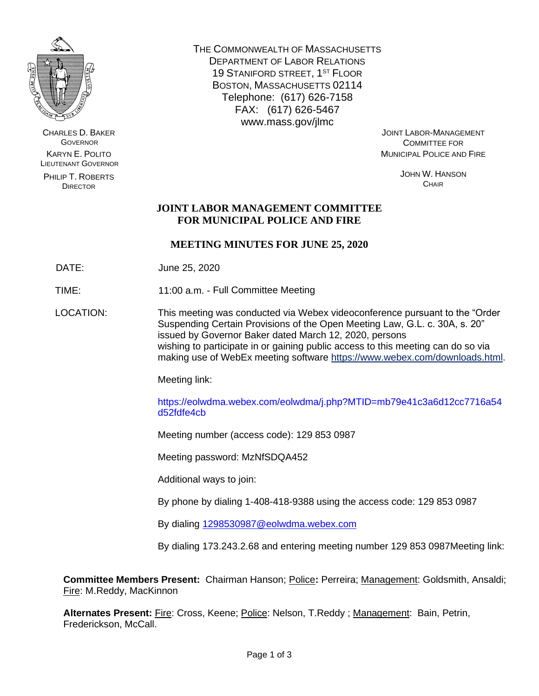

CHARLES D. BAKER **GOVERNOR** KARYN E. POLITO LIEUTENANT GOVERNOR

PHILIP T. ROBERTS **DIRECTOR** 

THE COMMONWEALTH OF MASSACHUSETTS DEPARTMENT OF LABOR RELATIONS 19 STANIFORD STREET, 1<sup>ST</sup> FLOOR BOSTON, MASSACHUSETTS 02114 Telephone: (617) 626-7158 FAX: (617) 626-5467 www.mass.gov/jlmc

JOINT LABOR-MANAGEMENT COMMITTEE FOR MUNICIPAL POLICE AND FIRE

> JOHN W. HANSON **CHAIR**

# **JOINT LABOR MANAGEMENT COMMITTEE FOR MUNICIPAL POLICE AND FIRE**

# **MEETING MINUTES FOR JUNE 25, 2020**

DATE: June 25, 2020

TIME: 11:00 a.m. - Full Committee Meeting

LOCATION: This meeting was conducted via Webex videoconference pursuant to the "Order Suspending Certain Provisions of the Open Meeting Law, G.L. c. 30A, s. 20" issued by Governor Baker dated March 12, 2020, persons wishing to participate in or gaining public access to this meeting can do so via making use of WebEx meeting software [https://www.webex.com/downloads.html.](https://www.webex.com/downloads.html)

Meeting link:

https://eolwdma.webex.com/eolwdma/j.php?MTID=mb79e41c3a6d12cc7716a54 d52fdfe4cb

Meeting number (access code): 129 853 0987

Meeting password: MzNfSDQA452

Additional ways to join:

By phone by dialing 1-408-418-9388 using the access code: 129 853 0987

By dialing [1298530987@eolwdma.webex.com](mailto:1298530987@eolwdma.webex.com)

By dialing 173.243.2.68 and entering meeting number 129 853 0987Meeting link:

**Committee Members Present:** Chairman Hanson; Police**:** Perreira; Management: Goldsmith, Ansaldi; Fire: M.Reddy, MacKinnon

Alternates Present: **Fire: Cross, Keene; Police: Nelson, T.Reddy**; Management: Bain, Petrin, Frederickson, McCall.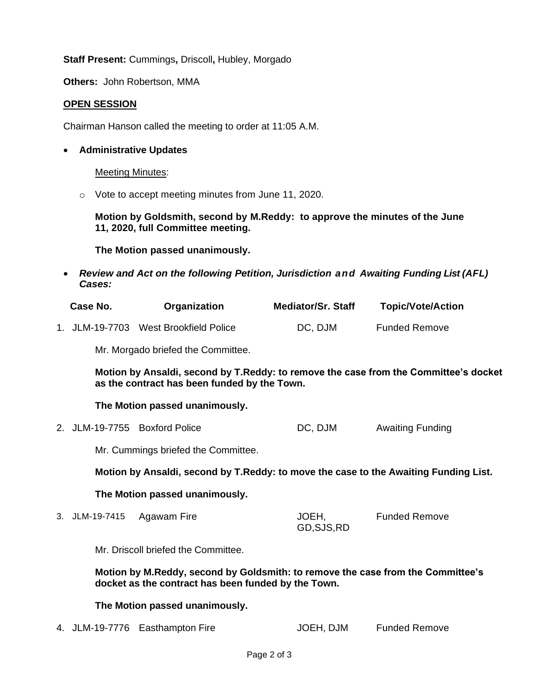**Staff Present:** Cummings**,** Driscoll**,** Hubley, Morgado

**Others:** John Robertson, MMA

# **OPEN SESSION**

Chairman Hanson called the meeting to order at 11:05 A.M.

## • **Administrative Updates**

Meeting Minutes:

o Vote to accept meeting minutes from June 11, 2020.

**Motion by Goldsmith, second by M.Reddy: to approve the minutes of the June 11, 2020, full Committee meeting.**

**The Motion passed unanimously.**

• *Review and Act on the following Petition, Jurisdiction and Awaiting Funding List (AFL) Cases:*

| Case No. | Organization                          | <b>Mediator/Sr. Staff</b> | <b>Topic/Vote/Action</b> |
|----------|---------------------------------------|---------------------------|--------------------------|
|          | 1. JLM-19-7703 West Brookfield Police | DC, DJM                   | <b>Funded Remove</b>     |

Mr. Morgado briefed the Committee.

**Motion by Ansaldi, second by T.Reddy: to remove the case from the Committee's docket as the contract has been funded by the Town.** 

#### **The Motion passed unanimously.**

2. JLM-19-7755 Boxford Police **DC, DJM** Awaiting Funding

Mr. Cummings briefed the Committee.

**Motion by Ansaldi, second by T.Reddy: to move the case to the Awaiting Funding List.**

#### **The Motion passed unanimously.**

3. JLM-19-7415 Agawam Fire JOEH, GD,SJS,RD Funded Remove

Mr. Driscoll briefed the Committee.

**Motion by M.Reddy, second by Goldsmith: to remove the case from the Committee's docket as the contract has been funded by the Town.** 

# **The Motion passed unanimously.**

4. JLM-19-7776 Easthampton Fire **JOEH, DJM** Funded Remove